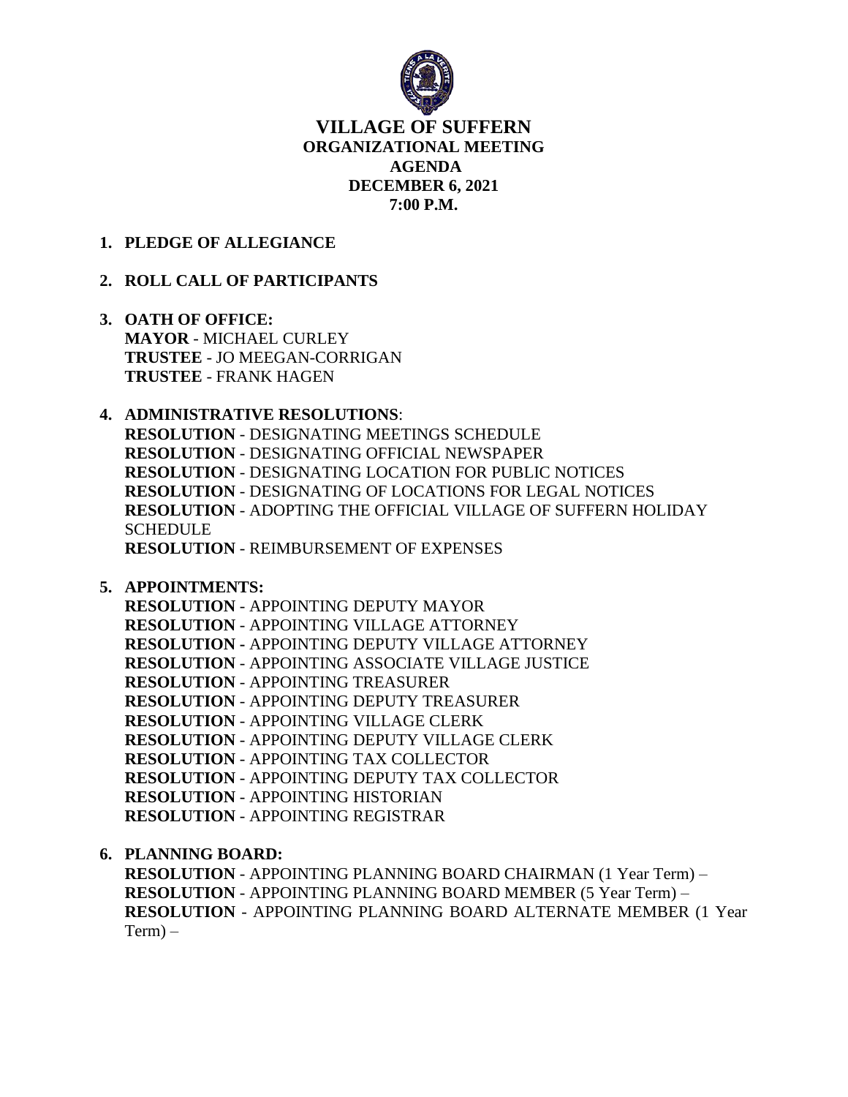

# **VILLAGE OF SUFFERN ORGANIZATIONAL MEETING AGENDA DECEMBER 6, 2021 7:00 P.M.**

## **1. PLEDGE OF ALLEGIANCE**

# **2. ROLL CALL OF PARTICIPANTS**

- **3. OATH OF OFFICE: MAYOR** - MICHAEL CURLEY **TRUSTEE** - JO MEEGAN-CORRIGAN **TRUSTEE** - FRANK HAGEN
- **4. ADMINISTRATIVE RESOLUTIONS**: **RESOLUTION** - DESIGNATING MEETINGS SCHEDULE **RESOLUTION** - DESIGNATING OFFICIAL NEWSPAPER **RESOLUTION** - DESIGNATING LOCATION FOR PUBLIC NOTICES **RESOLUTION** - DESIGNATING OF LOCATIONS FOR LEGAL NOTICES **RESOLUTION** - ADOPTING THE OFFICIAL VILLAGE OF SUFFERN HOLIDAY SCHEDULE **RESOLUTION** - REIMBURSEMENT OF EXPENSES
- **5. APPOINTMENTS:**

**RESOLUTION** - APPOINTING DEPUTY MAYOR **RESOLUTION** - APPOINTING VILLAGE ATTORNEY **RESOLUTION -** APPOINTING DEPUTY VILLAGE ATTORNEY **RESOLUTION** - APPOINTING ASSOCIATE VILLAGE JUSTICE **RESOLUTION** - APPOINTING TREASURER **RESOLUTION** - APPOINTING DEPUTY TREASURER **RESOLUTION** - APPOINTING VILLAGE CLERK **RESOLUTION** - APPOINTING DEPUTY VILLAGE CLERK **RESOLUTION** - APPOINTING TAX COLLECTOR **RESOLUTION** - APPOINTING DEPUTY TAX COLLECTOR **RESOLUTION** - APPOINTING HISTORIAN **RESOLUTION** - APPOINTING REGISTRAR

**6. PLANNING BOARD:**

**RESOLUTION** - APPOINTING PLANNING BOARD CHAIRMAN (1 Year Term) – **RESOLUTION** - APPOINTING PLANNING BOARD MEMBER (5 Year Term) – **RESOLUTION** - APPOINTING PLANNING BOARD ALTERNATE MEMBER (1 Year  $Term) -$